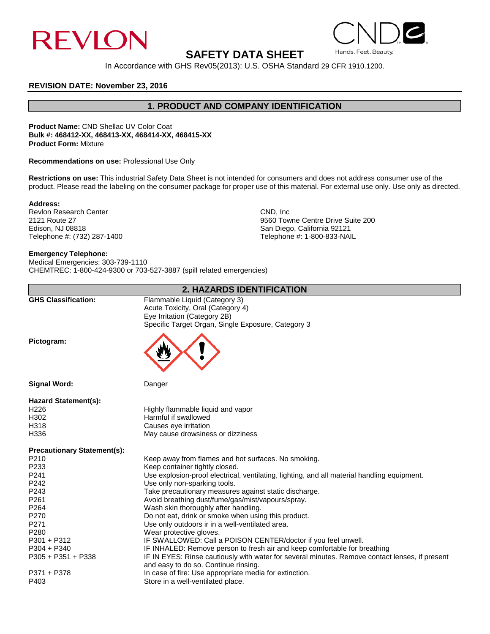

## **SAFETY DATA SHEET**

In Accordance with GHS Rev05(2013): U.S. OSHA Standard 29 CFR 1910.1200.

#### **REVISION DATE: November 23, 2016**

## **1. PRODUCT AND COMPANY IDENTIFICATION**

**Product Name:** CND Shellac UV Color Coat **Bulk #: 468412-XX, 468413-XX, 468414-XX, 468415-XX Product Form:** Mixture

**Recommendations on use:** Professional Use Only

**Restrictions on use:** This industrial Safety Data Sheet is not intended for consumers and does not address consumer use of the product. Please read the labeling on the consumer package for proper use of this material. For external use only. Use only as directed.

#### **Address:**

Revlon Research Center CND, Inc. 2121 Route 27 CND, Inc. 2121 Route 27 Edison, NJ 08818<br>
Telephone #: (732) 287-1400 San Diego, California 92121<br>
Telephone #: (1990-833-NAI

# 2121 Route 27 **2121 Route 27** 9560 Towne Centre Drive Suite 200 **Control Centre Drive Suite 200** 8 and Diego, California 92121 Telephone #: 1-800-833-NAIL

Hands. Feet. Beauty.

#### **Emergency Telephone:**

Medical Emergencies: 303-739-1110 CHEMTREC: 1-800-424-9300 or 703-527-3887 (spill related emergencies)

| 2. HAZARDS IDENTIFICATION          |                                                                                                                                                          |  |
|------------------------------------|----------------------------------------------------------------------------------------------------------------------------------------------------------|--|
| <b>GHS Classification:</b>         | Flammable Liquid (Category 3)<br>Acute Toxicity, Oral (Category 4)<br>Eye Irritation (Category 2B)<br>Specific Target Organ, Single Exposure, Category 3 |  |
| Pictogram:                         |                                                                                                                                                          |  |
| <b>Signal Word:</b>                | Danger                                                                                                                                                   |  |
| <b>Hazard Statement(s):</b>        |                                                                                                                                                          |  |
| H <sub>226</sub>                   | Highly flammable liquid and vapor                                                                                                                        |  |
| H302                               | Harmful if swallowed                                                                                                                                     |  |
| H318                               | Causes eye irritation                                                                                                                                    |  |
| H336                               | May cause drowsiness or dizziness                                                                                                                        |  |
| <b>Precautionary Statement(s):</b> |                                                                                                                                                          |  |
| P210                               | Keep away from flames and hot surfaces. No smoking.                                                                                                      |  |
| P233                               | Keep container tightly closed.                                                                                                                           |  |
| P <sub>241</sub>                   | Use explosion-proof electrical, ventilating, lighting, and all material handling equipment.                                                              |  |
| P <sub>242</sub>                   | Use only non-sparking tools.                                                                                                                             |  |
| P243                               | Take precautionary measures against static discharge.                                                                                                    |  |
| P261                               | Avoid breathing dust/fume/gas/mist/vapours/spray.                                                                                                        |  |
| P <sub>264</sub>                   | Wash skin thoroughly after handling.                                                                                                                     |  |
| P270                               | Do not eat, drink or smoke when using this product.                                                                                                      |  |
| P271                               | Use only outdoors ir in a well-ventilated area.                                                                                                          |  |
| P <sub>280</sub>                   | Wear protective gloves.                                                                                                                                  |  |
| $P301 + P312$                      | IF SWALLOWED: Call a POISON CENTER/doctor if you feel unwell.                                                                                            |  |
| $P304 + P340$                      | IF INHALED: Remove person to fresh air and keep comfortable for breathing                                                                                |  |
| $P305 + P351 + P338$               | IF IN EYES: Rinse cautiously with water for several minutes. Remove contact lenses, if present<br>and easy to do so. Continue rinsing.                   |  |
| P371 + P378                        | In case of fire: Use appropriate media for extinction.                                                                                                   |  |
| P403                               | Store in a well-ventilated place.                                                                                                                        |  |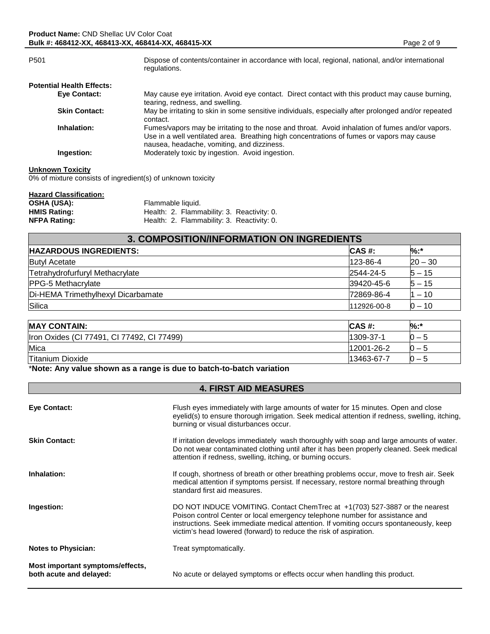| P <sub>501</sub>                 | Dispose of contents/container in accordance with local, regional, national, and/or international<br>regulations.                                                                                                                           |
|----------------------------------|--------------------------------------------------------------------------------------------------------------------------------------------------------------------------------------------------------------------------------------------|
| <b>Potential Health Effects:</b> |                                                                                                                                                                                                                                            |
| Eye Contact:                     | May cause eye irritation. Avoid eye contact. Direct contact with this product may cause burning,<br>tearing, redness, and swelling.                                                                                                        |
| <b>Skin Contact:</b>             | May be irritating to skin in some sensitive individuals, especially after prolonged and/or repeated<br>contact.                                                                                                                            |
| Inhalation:                      | Fumes/vapors may be irritating to the nose and throat. Avoid inhalation of fumes and/or vapors.<br>Use in a well ventilated area. Breathing high concentrations of fumes or vapors may cause<br>nausea, headache, vomiting, and dizziness. |
| Ingestion:                       | Moderately toxic by ingestion. Avoid ingestion.                                                                                                                                                                                            |

#### **Unknown Toxicity**

0% of mixture consists of ingredient(s) of unknown toxicity

| <b>Hazard Classification:</b> |                                            |
|-------------------------------|--------------------------------------------|
| <b>OSHA (USA):</b>            | Flammable liquid.                          |
| <b>HMIS Rating:</b>           | Health: 2. Flammability: 3. Reactivity: 0. |
| <b>NFPA Rating:</b>           | Health: 2. Flammability: 3. Reactivity: 0. |

| 3. COMPOSITION/INFORMATION ON INGREDIENTS |             |           |  |
|-------------------------------------------|-------------|-----------|--|
| <b>HAZARDOUS INGREDIENTS:</b>             | CAS #:      | %:*       |  |
| <b>Butyl Acetate</b>                      | 123-86-4    | $20 - 30$ |  |
| Tetrahydrofurfuryl Methacrylate           | 2544-24-5   | $5 - 15$  |  |
| <b>PPG-5 Methacrylate</b>                 | 39420-45-6  | $5 - 15$  |  |
| Di-HEMA Trimethylhexyl Dicarbamate        | 72869-86-4  | $-10$     |  |
| Silica                                    | 112926-00-8 | 0 – 10    |  |

| <b>MAY CONTAIN:</b>                        | ICAS #:    | %:*        |
|--------------------------------------------|------------|------------|
| Iron Oxides (CI 77491, CI 77492, CI 77499) | 1309-37-1  | $\cdots$   |
| Mica                                       | 12001-26-2 | $\cup$ $-$ |
| <b>Titanium Dioxide</b>                    | 13463-67-7 | $\cdots$   |

\***Note: Any value shown as a range is due to batch-to-batch variation**

## **4. FIRST AID MEASURES**

| Eye Contact:                                                | Flush eyes immediately with large amounts of water for 15 minutes. Open and close<br>eyelid(s) to ensure thorough irrigation. Seek medical attention if redness, swelling, itching,<br>burning or visual disturbances occur.                                                                                               |
|-------------------------------------------------------------|----------------------------------------------------------------------------------------------------------------------------------------------------------------------------------------------------------------------------------------------------------------------------------------------------------------------------|
| <b>Skin Contact:</b>                                        | If irritation develops immediately wash thoroughly with soap and large amounts of water.<br>Do not wear contaminated clothing until after it has been properly cleaned. Seek medical<br>attention if redness, swelling, itching, or burning occurs.                                                                        |
| Inhalation:                                                 | If cough, shortness of breath or other breathing problems occur, move to fresh air. Seek<br>medical attention if symptoms persist. If necessary, restore normal breathing through<br>standard first aid measures.                                                                                                          |
| Ingestion:                                                  | DO NOT INDUCE VOMITING. Contact ChemTrec at +1(703) 527-3887 or the nearest<br>Poison control Center or local emergency telephone number for assistance and<br>instructions. Seek immediate medical attention. If vomiting occurs spontaneously, keep<br>victim's head lowered (forward) to reduce the risk of aspiration. |
| <b>Notes to Physician:</b>                                  | Treat symptomatically.                                                                                                                                                                                                                                                                                                     |
| Most important symptoms/effects,<br>both acute and delayed: | No acute or delayed symptoms or effects occur when handling this product.                                                                                                                                                                                                                                                  |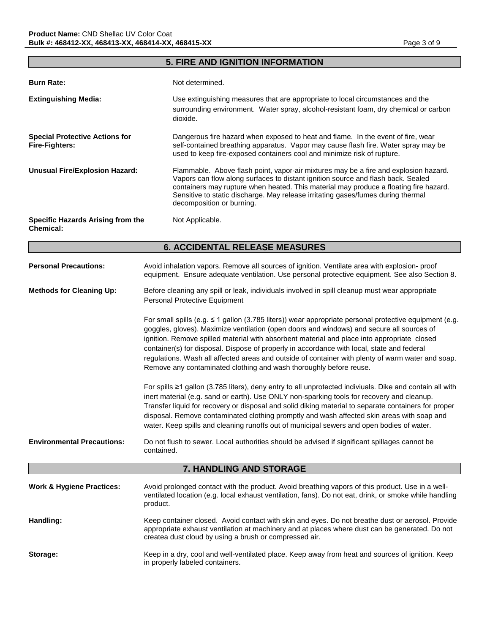## **5. FIRE AND IGNITION INFORMATION**

| <b>Burn Rate:</b>                                              | Not determined.                                                                                                                                                                                                                                                                                                                                                                    |  |
|----------------------------------------------------------------|------------------------------------------------------------------------------------------------------------------------------------------------------------------------------------------------------------------------------------------------------------------------------------------------------------------------------------------------------------------------------------|--|
| <b>Extinguishing Media:</b>                                    | Use extinguishing measures that are appropriate to local circumstances and the<br>surrounding environment. Water spray, alcohol-resistant foam, dry chemical or carbon<br>dioxide.                                                                                                                                                                                                 |  |
| <b>Special Protective Actions for</b><br><b>Fire-Fighters:</b> | Dangerous fire hazard when exposed to heat and flame. In the event of fire, wear<br>self-contained breathing apparatus. Vapor may cause flash fire. Water spray may be<br>used to keep fire-exposed containers cool and minimize risk of rupture.                                                                                                                                  |  |
| <b>Unusual Fire/Explosion Hazard:</b>                          | Flammable. Above flash point, vapor-air mixtures may be a fire and explosion hazard.<br>Vapors can flow along surfaces to distant ignition source and flash back. Sealed<br>containers may rupture when heated. This material may produce a floating fire hazard.<br>Sensitive to static discharge. May release irritating gases/fumes during thermal<br>decomposition or burning. |  |
| Specific Hazards Arising from the<br><b>Chemical:</b>          | Not Applicable.                                                                                                                                                                                                                                                                                                                                                                    |  |
| <b>6. ACCIDENTAL RELEASE MEASURES</b>                          |                                                                                                                                                                                                                                                                                                                                                                                    |  |
| <b>Personal Precautions:</b>                                   | Avoid inhalation vapors. Remove all sources of ignition. Ventilate area with explosion- proof<br>equipment. Ensure adequate ventilation. Use personal protective equipment. See also Section 8.                                                                                                                                                                                    |  |
| <b>Methods for Cleaning Up:</b>                                | Before cleaning any spill or leak, individuals involved in spill cleanup must wear appropriate<br><b>Personal Protective Equipment</b>                                                                                                                                                                                                                                             |  |

For small spills (e.g. ≤ 1 gallon (3.785 liters)) wear appropriate personal protective equipment (e.g. goggles, gloves). Maximize ventilation (open doors and windows) and secure all sources of ignition. Remove spilled material with absorbent material and place into appropriate closed container(s) for disposal. Dispose of properly in accordance with local, state and federal regulations. Wash all affected areas and outside of container with plenty of warm water and soap. Remove any contaminated clothing and wash thoroughly before reuse.

For spills ≥1 gallon (3.785 liters), deny entry to all unprotected indiviuals. Dike and contain all with inert material (e.g. sand or earth). Use ONLY non-sparking tools for recovery and cleanup. Transfer liquid for recovery or disposal and solid diking material to separate containers for proper disposal. Remove contaminated clothing promptly and wash affected skin areas with soap and water. Keep spills and cleaning runoffs out of municipal sewers and open bodies of water.

**Environmental Precautions:** Do not flush to sewer. Local authorities should be advised if significant spillages cannot be contained.

**7. HANDLING AND STORAGE**

| <b>Work &amp; Hygiene Practices:</b> | Avoid prolonged contact with the product. Avoid breathing vapors of this product. Use in a well-<br>ventilated location (e.g. local exhaust ventilation, fans). Do not eat, drink, or smoke while handling<br>product.                                       |
|--------------------------------------|--------------------------------------------------------------------------------------------------------------------------------------------------------------------------------------------------------------------------------------------------------------|
| Handling:                            | Keep container closed. Avoid contact with skin and eyes. Do not breathe dust or aerosol. Provide<br>appropriate exhaust ventilation at machinery and at places where dust can be generated. Do not<br>createa dust cloud by using a brush or compressed air. |
| Storage:                             | Keep in a dry, cool and well-ventilated place. Keep away from heat and sources of ignition. Keep<br>in properly labeled containers.                                                                                                                          |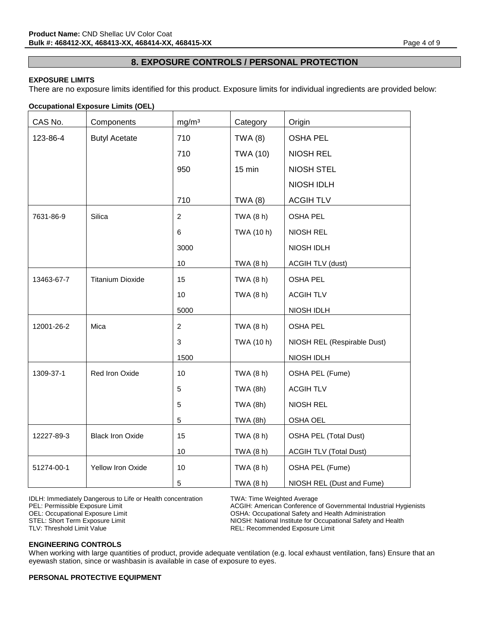## **8. EXPOSURE CONTROLS / PERSONAL PROTECTION**

#### **EXPOSURE LIMITS**

There are no exposure limits identified for this product. Exposure limits for individual ingredients are provided below:

#### **Occupational Exposure Limits (OEL)**

| CAS No.    | Components              | mg/m <sup>3</sup> | Category        | Origin                        |
|------------|-------------------------|-------------------|-----------------|-------------------------------|
| 123-86-4   | <b>Butyl Acetate</b>    | 710               | <b>TWA (8)</b>  | <b>OSHA PEL</b>               |
|            |                         | 710               | <b>TWA (10)</b> | <b>NIOSH REL</b>              |
|            |                         | 950               | 15 min          | <b>NIOSH STEL</b>             |
|            |                         |                   |                 | NIOSH IDLH                    |
|            |                         | 710               | <b>TWA (8)</b>  | <b>ACGIHTLV</b>               |
| 7631-86-9  | Silica                  | $\overline{2}$    | TWA (8 h)       | <b>OSHA PEL</b>               |
|            |                         | 6                 | TWA (10 h)      | NIOSH REL                     |
|            |                         | 3000              |                 | NIOSH IDLH                    |
|            |                         | 10                | TWA (8 h)       | <b>ACGIH TLV (dust)</b>       |
| 13463-67-7 | <b>Titanium Dioxide</b> | 15                | TWA (8 h)       | <b>OSHA PEL</b>               |
|            |                         | 10                | TWA (8 h)       | <b>ACGIH TLV</b>              |
|            |                         | 5000              |                 | NIOSH IDLH                    |
| 12001-26-2 | Mica                    | 2                 | TWA (8 h)       | <b>OSHA PEL</b>               |
|            |                         | 3                 | TWA (10 h)      | NIOSH REL (Respirable Dust)   |
|            |                         | 1500              |                 | NIOSH IDLH                    |
| 1309-37-1  | Red Iron Oxide          | 10                | TWA (8 h)       | OSHA PEL (Fume)               |
|            |                         | 5                 | TWA (8h)        | <b>ACGIH TLV</b>              |
|            |                         | 5                 | <b>TWA (8h)</b> | NIOSH REL                     |
|            |                         | 5                 | <b>TWA (8h)</b> | OSHA OEL                      |
| 12227-89-3 | <b>Black Iron Oxide</b> | 15                | TWA (8 h)       | <b>OSHA PEL (Total Dust)</b>  |
|            |                         | 10                | TWA (8 h)       | <b>ACGIH TLV (Total Dust)</b> |
| 51274-00-1 | Yellow Iron Oxide       | 10                | TWA (8 h)       | OSHA PEL (Fume)               |
|            |                         | 5                 | TWA (8 h)       | NIOSH REL (Dust and Fume)     |

IDLH: Immediately Dangerous to Life or Health concentration TWA: Time Weighted Average<br>PEL: Permissible Exposure Limit Conference of ACGIH: American Conference

PEL: Permissible Exposure Limit exposure Limit and ACGIH: American Conference of Governmental Industrial Hygienists<br>
OSHA: Occupational Accupational Safety and Health Administration OSHA: Occupational Safety and Health Administration STEL: Short Term Exposure Limit Nicolar States and NIOSH: National Institute for Occupational Safety and Health<br>TLV: Threshold Limit Value TLV: Network Capacity REL: Recommended Exposure Limit REL: Recommended Exposure Limit

#### **ENGINEERING CONTROLS**

When working with large quantities of product, provide adequate ventilation (e.g. local exhaust ventilation, fans) Ensure that an eyewash station, since or washbasin is available in case of exposure to eyes.

#### **PERSONAL PROTECTIVE EQUIPMENT**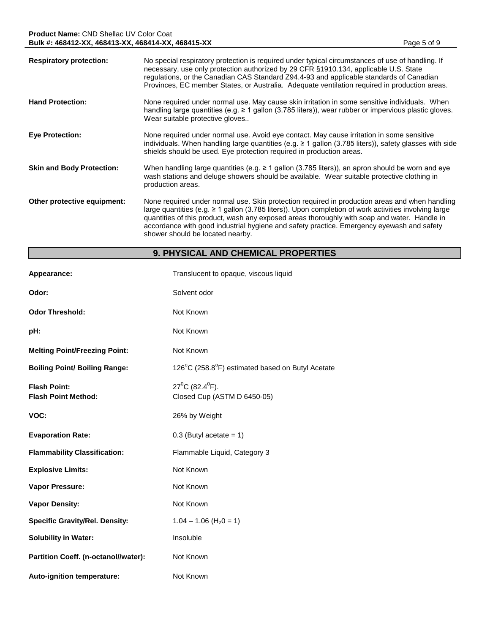| <b>Respiratory protection:</b>   | No special respiratory protection is required under typical circumstances of use of handling. If<br>necessary, use only protection authorized by 29 CFR §1910.134, applicable U.S. State<br>regulations, or the Canadian CAS Standard Z94.4-93 and applicable standards of Canadian<br>Provinces, EC member States, or Australia. Adequate ventilation required in production areas.                                                          |
|----------------------------------|-----------------------------------------------------------------------------------------------------------------------------------------------------------------------------------------------------------------------------------------------------------------------------------------------------------------------------------------------------------------------------------------------------------------------------------------------|
| <b>Hand Protection:</b>          | None required under normal use. May cause skin irritation in some sensitive individuals. When<br>handling large quantities (e.g. $\geq 1$ gallon (3.785 liters)), wear rubber or impervious plastic gloves.<br>Wear suitable protective gloves                                                                                                                                                                                                |
| <b>Eye Protection:</b>           | None required under normal use. Avoid eye contact. May cause irritation in some sensitive<br>individuals. When handling large quantities (e.g. $\geq 1$ gallon (3.785 liters)), safety glasses with side<br>shields should be used. Eye protection required in production areas.                                                                                                                                                              |
| <b>Skin and Body Protection:</b> | When handling large quantities (e.g. $\geq 1$ gallon (3.785 liters)), an apron should be worn and eye<br>wash stations and deluge showers should be available. Wear suitable protective clothing in<br>production areas.                                                                                                                                                                                                                      |
| Other protective equipment:      | None required under normal use. Skin protection required in production areas and when handling<br>large quantities (e.g. $\geq 1$ gallon (3.785 liters)). Upon completion of work activities involving large<br>quantities of this product, wash any exposed areas thoroughly with soap and water. Handle in<br>accordance with good industrial hygiene and safety practice. Emergency eyewash and safety<br>shower should be located nearby. |

# **9. PHYSICAL AND CHEMICAL PROPERTIES**

| Appearance:                                       | Translucent to opaque, viscous liquid                              |
|---------------------------------------------------|--------------------------------------------------------------------|
| Odor:                                             | Solvent odor                                                       |
| <b>Odor Threshold:</b>                            | Not Known                                                          |
| pH:                                               | Not Known                                                          |
| <b>Melting Point/Freezing Point:</b>              | Not Known                                                          |
| <b>Boiling Point/ Boiling Range:</b>              | 126°C (258.8°F) estimated based on Butyl Acetate                   |
| <b>Flash Point:</b><br><b>Flash Point Method:</b> | $27^{\circ}$ C (82.4 $^{\circ}$ F).<br>Closed Cup (ASTM D 6450-05) |
| VOC:                                              | 26% by Weight                                                      |
| <b>Evaporation Rate:</b>                          | $0.3$ (Butyl acetate = 1)                                          |
| <b>Flammability Classification:</b>               | Flammable Liquid, Category 3                                       |
| <b>Explosive Limits:</b>                          | Not Known                                                          |
| Vapor Pressure:                                   | Not Known                                                          |
| <b>Vapor Density:</b>                             | Not Known                                                          |
| <b>Specific Gravity/Rel. Density:</b>             | $1.04 - 1.06$ (H <sub>2</sub> 0 = 1)                               |
| <b>Solubility in Water:</b>                       | Insoluble                                                          |
| Partition Coeff. (n-octanol//water):              | Not Known                                                          |
| Auto-ignition temperature:                        | Not Known                                                          |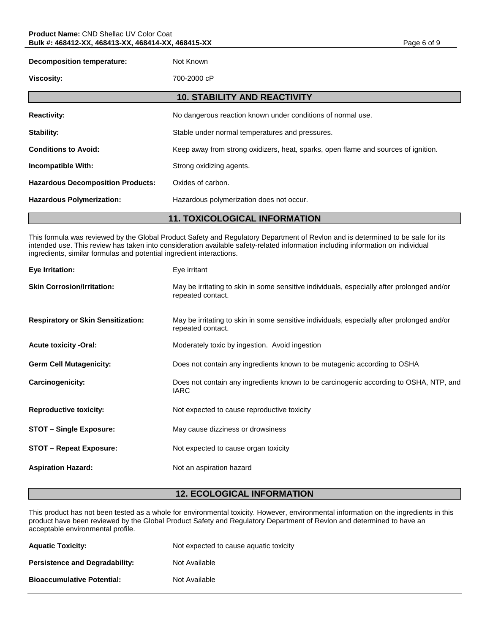| <b>Decomposition temperature:</b>        | Not Known                                                                          |  |  |
|------------------------------------------|------------------------------------------------------------------------------------|--|--|
| <b>Viscosity:</b>                        | 700-2000 cP                                                                        |  |  |
|                                          | <b>10. STABILITY AND REACTIVITY</b>                                                |  |  |
| <b>Reactivity:</b>                       | No dangerous reaction known under conditions of normal use.                        |  |  |
| <b>Stability:</b>                        | Stable under normal temperatures and pressures.                                    |  |  |
| <b>Conditions to Avoid:</b>              | Keep away from strong oxidizers, heat, sparks, open flame and sources of ignition. |  |  |
| <b>Incompatible With:</b>                | Strong oxidizing agents.                                                           |  |  |
| <b>Hazardous Decomposition Products:</b> | Oxides of carbon.                                                                  |  |  |
| <b>Hazardous Polymerization:</b>         | Hazardous polymerization does not occur.                                           |  |  |
| <b>11. TOXICOLOGICAL INFORMATION</b>     |                                                                                    |  |  |

This formula was reviewed by the Global Product Safety and Regulatory Department of Revlon and is determined to be safe for its intended use. This review has taken into consideration available safety-related information including information on individual ingredients, similar formulas and potential ingredient interactions.

| Eye Irritation:                           | Eye irritant                                                                                                    |
|-------------------------------------------|-----------------------------------------------------------------------------------------------------------------|
| <b>Skin Corrosion/Irritation:</b>         | May be irritating to skin in some sensitive individuals, especially after prolonged and/or<br>repeated contact. |
| <b>Respiratory or Skin Sensitization:</b> | May be irritating to skin in some sensitive individuals, especially after prolonged and/or<br>repeated contact. |
| <b>Acute toxicity -Oral:</b>              | Moderately toxic by ingestion. Avoid ingestion                                                                  |
| <b>Germ Cell Mutagenicity:</b>            | Does not contain any ingredients known to be mutagenic according to OSHA                                        |
| <b>Carcinogenicity:</b>                   | Does not contain any ingredients known to be carcinogenic according to OSHA, NTP, and<br><b>IARC</b>            |
| <b>Reproductive toxicity:</b>             | Not expected to cause reproductive toxicity                                                                     |
| <b>STOT - Single Exposure:</b>            | May cause dizziness or drowsiness                                                                               |
| <b>STOT - Repeat Exposure:</b>            | Not expected to cause organ toxicity                                                                            |
| <b>Aspiration Hazard:</b>                 | Not an aspiration hazard                                                                                        |

## **12. ECOLOGICAL INFORMATION**

This product has not been tested as a whole for environmental toxicity. However, environmental information on the ingredients in this product have been reviewed by the Global Product Safety and Regulatory Department of Revlon and determined to have an acceptable environmental profile.

| <b>Aquatic Toxicity:</b>              | Not expected to cause aquatic toxicity |
|---------------------------------------|----------------------------------------|
| <b>Persistence and Degradability:</b> | Not Available                          |
| <b>Bioaccumulative Potential:</b>     | Not Available                          |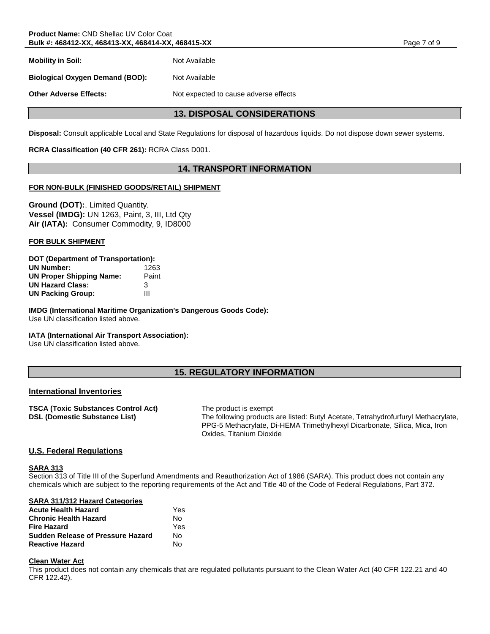**Mobility in Soil:** Not Available

**Biological Oxygen Demand (BOD):** Not Available

**Other Adverse Effects:** Not expected to cause adverse effects

## **13. DISPOSAL CONSIDERATIONS**

**Disposal:** Consult applicable Local and State Regulations for disposal of hazardous liquids. Do not dispose down sewer systems.

## **RCRA Classification (40 CFR 261):** RCRA Class D001.

## **14. TRANSPORT INFORMATION**

## **FOR NON-BULK (FINISHED GOODS/RETAIL) SHIPMENT**

**Ground (DOT):**. Limited Quantity. **Vessel (IMDG):** UN 1263, Paint, 3, III, Ltd Qty **Air (IATA):** Consumer Commodity, 9, ID8000

#### **FOR BULK SHIPMENT**

| <b>DOT (Department of Transportation):</b> |       |  |
|--------------------------------------------|-------|--|
| <b>UN Number:</b>                          | 1263  |  |
| <b>UN Proper Shipping Name:</b>            | Paint |  |
| <b>UN Hazard Class:</b>                    | 3     |  |
| <b>UN Packing Group:</b>                   | Ш     |  |

**IMDG (International Maritime Organization's Dangerous Goods Code):** Use UN classification listed above.

#### **IATA (International Air Transport Association):**

Use UN classification listed above.

## **15. REGULATORY INFORMATION**

#### **International Inventories**

| TSCA (Toxic Substances Control Act)  |  |
|--------------------------------------|--|
| <b>DSL (Domestic Substance List)</b> |  |

**The product is exempt** The following products are listed: Butyl Acetate, Tetrahydrofurfuryl Methacrylate, PPG-5 Methacrylate, Di-HEMA Trimethylhexyl Dicarbonate, Silica, Mica, Iron Oxides, Titanium Dioxide

## **U.S. Federal Regulations**

#### **SARA 313**

Section 313 of Title III of the Superfund Amendments and Reauthorization Act of 1986 (SARA). This product does not contain any chemicals which are subject to the reporting requirements of the Act and Title 40 of the Code of Federal Regulations, Part 372.

#### **SARA 311/312 Hazard Categories**

| <b>Acute Health Hazard</b>               | Yes |
|------------------------------------------|-----|
| <b>Chronic Health Hazard</b>             | N٥  |
| <b>Fire Hazard</b>                       | Yes |
| <b>Sudden Release of Pressure Hazard</b> | N٥  |
| <b>Reactive Hazard</b>                   | N٥  |

#### **Clean Water Act**

This product does not contain any chemicals that are regulated pollutants pursuant to the Clean Water Act (40 CFR 122.21 and 40 CFR 122.42).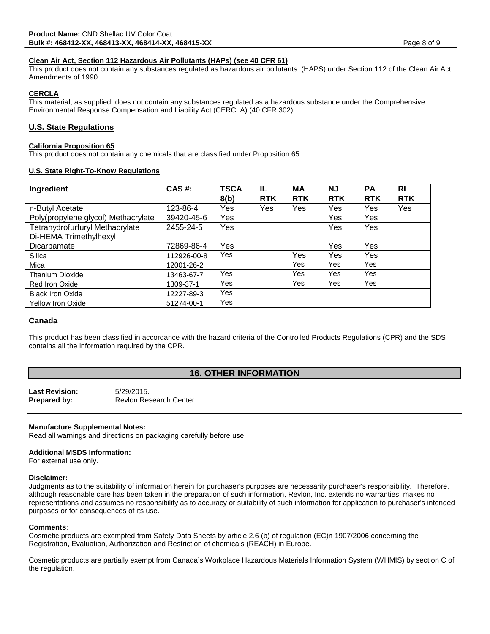#### **Clean Air Act, Section 112 Hazardous Air Pollutants (HAPs) (see 40 CFR 61)**

This product does not contain any substances regulated as hazardous air pollutants (HAPS) under Section 112 of the Clean Air Act Amendments of 1990.

## **CERCLA**

This material, as supplied, does not contain any substances regulated as a hazardous substance under the Comprehensive Environmental Response Compensation and Liability Act (CERCLA) (40 CFR 302).

## **U.S. State Regulations**

#### **California Proposition 65**

This product does not contain any chemicals that are classified under Proposition 65.

#### **U.S. State Right-To-Know Regulations**

| Ingredient                          | <b>CAS#:</b> | <b>TSCA</b> | IL         | <b>MA</b>  | <b>NJ</b>  | <b>PA</b>  | R <sub>l</sub> |
|-------------------------------------|--------------|-------------|------------|------------|------------|------------|----------------|
|                                     |              | 8(b)        | <b>RTK</b> | <b>RTK</b> | <b>RTK</b> | <b>RTK</b> | <b>RTK</b>     |
| n-Butyl Acetate                     | 123-86-4     | Yes         | Yes        | Yes        | Yes        | <b>Yes</b> | Yes            |
| Poly(propylene glycol) Methacrylate | 39420-45-6   | Yes         |            |            | Yes        | Yes        |                |
| Tetrahydrofurfuryl Methacrylate     | 2455-24-5    | Yes         |            |            | Yes        | Yes        |                |
| Di-HEMA Trimethylhexyl              |              |             |            |            |            |            |                |
| Dicarbamate                         | 72869-86-4   | Yes         |            |            | Yes        | <b>Yes</b> |                |
| Silica                              | 112926-00-8  | Yes         |            | Yes        | Yes        | <b>Yes</b> |                |
| Mica                                | 12001-26-2   |             |            | Yes        | Yes        | Yes        |                |
| <b>Titanium Dioxide</b>             | 13463-67-7   | Yes         |            | Yes        | Yes        | Yes        |                |
| Red Iron Oxide                      | 1309-37-1    | Yes         |            | Yes        | Yes        | Yes        |                |
| <b>Black Iron Oxide</b>             | 12227-89-3   | Yes         |            |            |            |            |                |
| <b>Yellow Iron Oxide</b>            | 51274-00-1   | Yes         |            |            |            |            |                |

#### **Canada**

This product has been classified in accordance with the hazard criteria of the Controlled Products Regulations (CPR) and the SDS contains all the information required by the CPR.

## **16. OTHER INFORMATION**

| <b>Last Revision:</b> | 5/29/2015.                    |
|-----------------------|-------------------------------|
| Prepared by:          | <b>Revion Research Center</b> |

#### **Manufacture Supplemental Notes:**

Read all warnings and directions on packaging carefully before use.

#### **Additional MSDS Information:**

For external use only.

#### **Disclaimer:**

Judgments as to the suitability of information herein for purchaser's purposes are necessarily purchaser's responsibility. Therefore, although reasonable care has been taken in the preparation of such information, Revlon, Inc. extends no warranties, makes no representations and assumes no responsibility as to accuracy or suitability of such information for application to purchaser's intended purposes or for consequences of its use.

#### **Comments**:

Cosmetic products are exempted from Safety Data Sheets by article 2.6 (b) of regulation (EC)n 1907/2006 concerning the Registration, Evaluation, Authorization and Restriction of chemicals (REACH) in Europe.

Cosmetic products are partially exempt from Canada's Workplace Hazardous Materials Information System (WHMIS) by section C of the regulation.